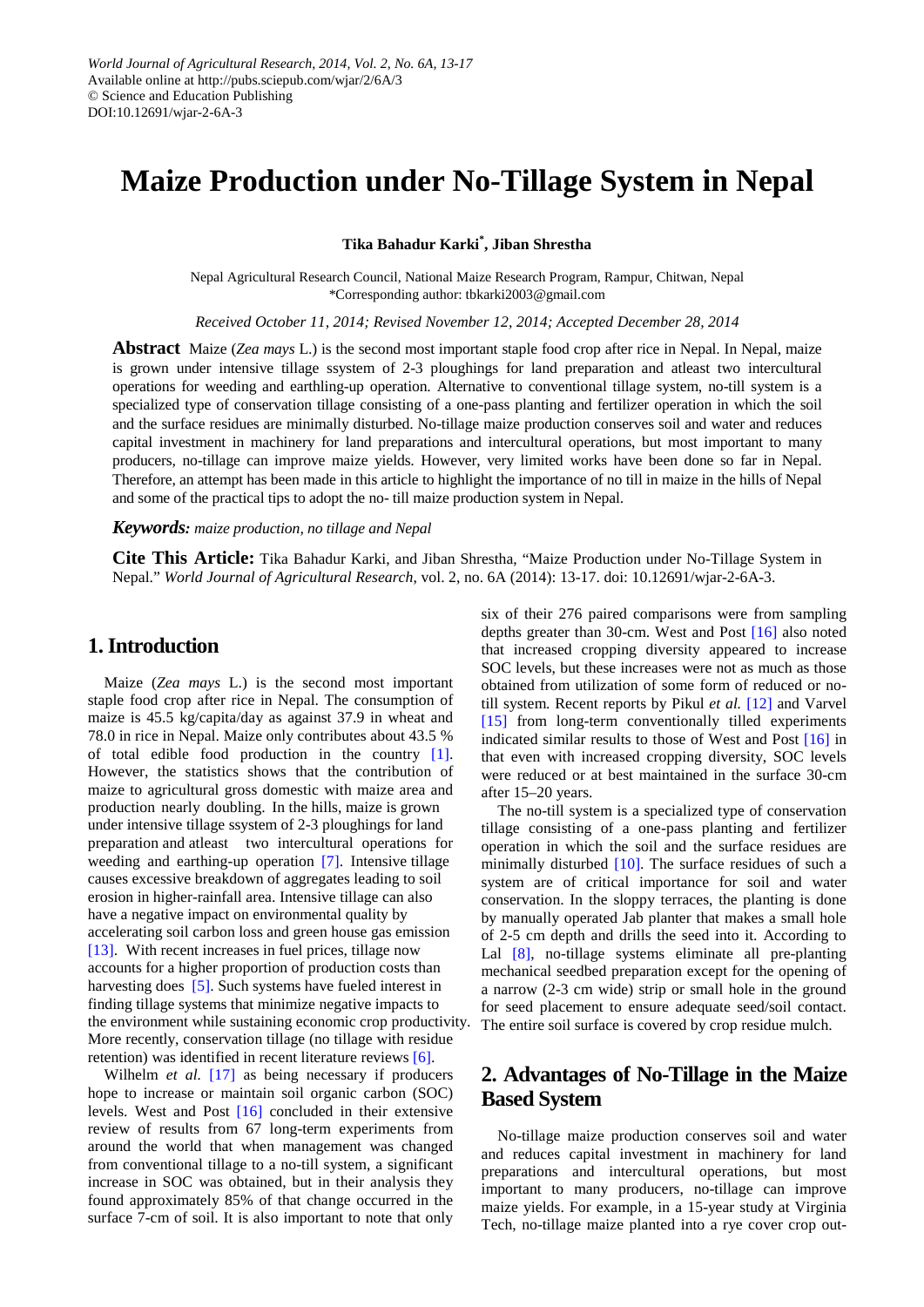# **Maize Production under No-Tillage System in Nepal**

**Tika Bahadur Karki\* , Jiban Shrestha**

Nepal Agricultural Research Council, National Maize Research Program, Rampur, Chitwan, Nepal \*Corresponding author: tbkarki2003@gmail.com

*Received October 11, 2014; Revised November 12, 2014; Accepted December 28, 2014*

**Abstract** Maize (*Zea mays* L.) is the second most important staple food crop after rice in Nepal. In Nepal, maize is grown under intensive tillage ssystem of 2-3 ploughings for land preparation and atleast two intercultural operations for weeding and earthling-up operation. Alternative to conventional tillage system, no-till system is a specialized type of conservation tillage consisting of a one-pass planting and fertilizer operation in which the soil and the surface residues are minimally disturbed. No-tillage maize production conserves soil and water and reduces capital investment in machinery for land preparations and intercultural operations, but most important to many producers, no-tillage can improve maize yields. However, very limited works have been done so far in Nepal. Therefore, an attempt has been made in this article to highlight the importance of no till in maize in the hills of Nepal and some of the practical tips to adopt the no- till maize production system in Nepal.

*Keywords: maize production, no tillage and Nepal*

**Cite This Article:** Tika Bahadur Karki, and Jiban Shrestha, "Maize Production under No-Tillage System in Nepal." *World Journal of Agricultural Research*, vol. 2, no. 6A (2014): 13-17. doi: 10.12691/wjar-2-6A-3.

## **1. Introduction**

Maize (*Zea mays* L.) is the second most important staple food crop after rice in Nepal. The consumption of maize is 45.5 kg/capita/day as against 37.9 in wheat and 78.0 in rice in Nepal. Maize only contributes about 43.5 % of total edible food production in the country [\[1\].](#page-4-0) However, the statistics shows that the contribution of maize to agricultural gross domestic with maize area and production nearly doubling. In the hills, maize is grown under intensive tillage ssystem of 2-3 ploughings for land preparation and atleast two intercultural operations for weeding and earthing-up operation [\[7\].](#page-4-1) Intensive tillage causes excessive breakdown of aggregates leading to soil erosion in higher-rainfall area. Intensive tillage can also have a negative impact on environmental quality by accelerating soil carbon loss and green house gas emission [\[13\].](#page-4-2) With recent increases in fuel prices, tillage now accounts for a higher proportion of production costs than harvesting does [\[5\].](#page-4-3) Such systems have fueled interest in finding tillage systems that minimize negative impacts to the environment while sustaining economic crop productivity. More recently, conservation tillage (no tillage with residue retention) was identified in recent literature reviews [\[6\].](#page-4-4)

Wilhelm *et al.* [\[17\]](#page-4-5) as being necessary if producers hope to increase or maintain soil organic carbon (SOC) levels. West and Post [\[16\]](#page-4-6) concluded in their extensive review of results from 67 long-term experiments from around the world that when management was changed from conventional tillage to a no-till system, a significant increase in SOC was obtained, but in their analysis they found approximately 85% of that change occurred in the surface 7-cm of soil. It is also important to note that only

six of their 276 paired comparisons were from sampling depths greater than 30-cm. West and Post [\[16\]](#page-4-6) also noted that increased cropping diversity appeared to increase SOC levels, but these increases were not as much as those obtained from utilization of some form of reduced or notill system. Recent reports by Pikul *et al.* [\[12\]](#page-4-7) and Varvel [\[15\]](#page-4-8) from long-term conventionally tilled experiments indicated similar results to those of West and Post [\[16\]](#page-4-6) in that even with increased cropping diversity, SOC levels were reduced or at best maintained in the surface 30-cm after 15–20 years.

The no-till system is a specialized type of conservation tillage consisting of a one-pass planting and fertilizer operation in which the soil and the surface residues are minimally disturbed [\[10\].](#page-4-9) The surface residues of such a system are of critical importance for soil and water conservation. In the sloppy terraces, the planting is done by manually operated Jab planter that makes a small hole of 2-5 cm depth and drills the seed into it. According to Lal [\[8\],](#page-4-10) no-tillage systems eliminate all pre-planting mechanical seedbed preparation except for the opening of a narrow (2-3 cm wide) strip or small hole in the ground for seed placement to ensure adequate seed/soil contact. The entire soil surface is covered by crop residue mulch.

# **2. Advantages of No-Tillage in the Maize Based System**

No-tillage maize production conserves soil and water and reduces capital investment in machinery for land preparations and intercultural operations, but most important to many producers, no-tillage can improve maize yields. For example, in a 15-year study at Virginia Tech, no-tillage maize planted into a rye cover crop out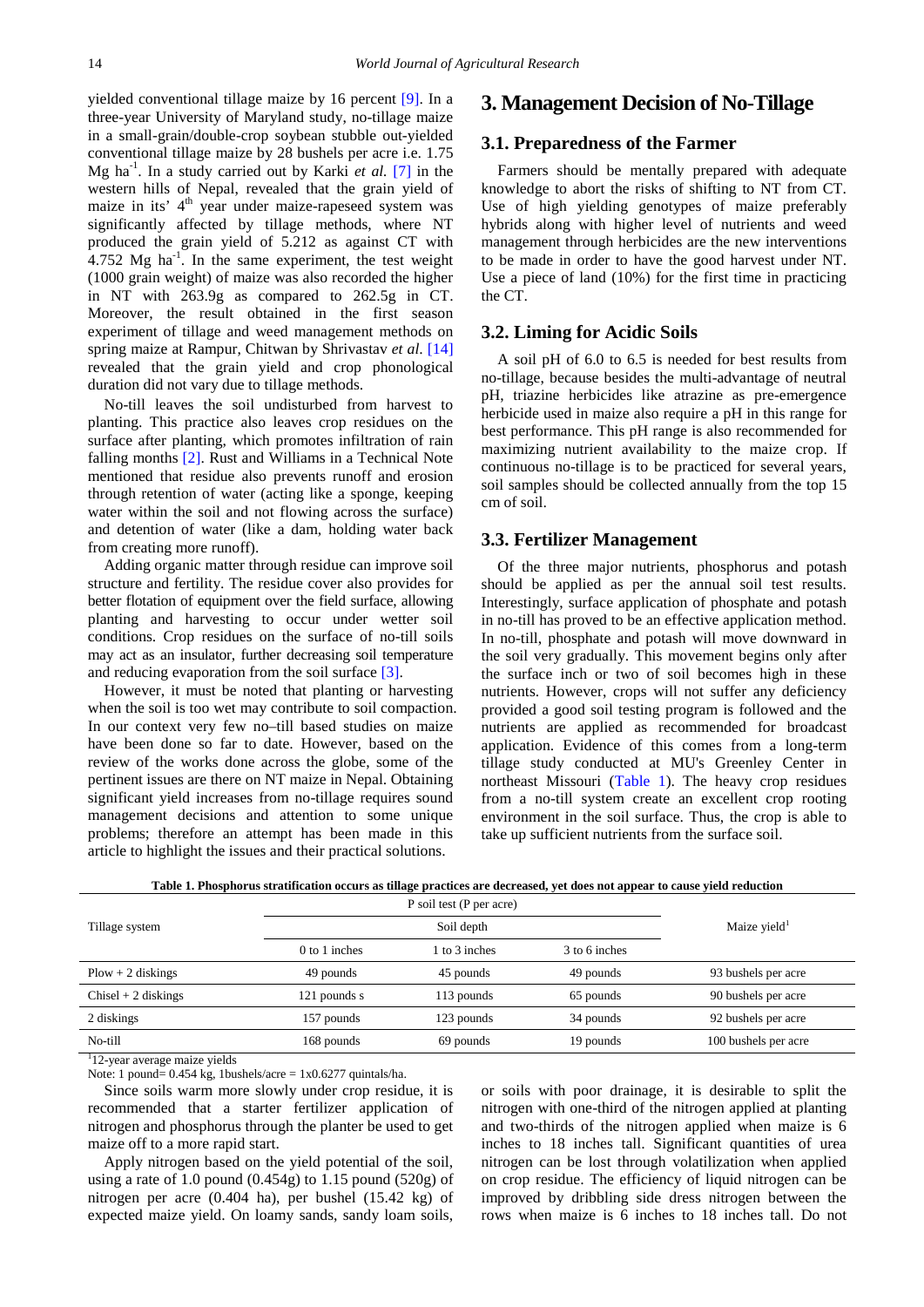yielded conventional tillage maize by 16 percent [\[9\].](#page-4-11) In a three-year University of Maryland study, no-tillage maize in a small-grain/double-crop soybean stubble out-yielded conventional tillage maize by 28 bushels per acre i.e. 1.75 Mg ha-1 . In a study carried out by Karki *et al.* [\[7\]](#page-4-1) in the western hills of Nepal, revealed that the grain yield of maize in its'  $4<sup>th</sup>$  year under maize-rapeseed system was significantly affected by tillage methods, where NT produced the grain yield of 5.212 as against CT with  $4.752$  Mg ha<sup>-1</sup>. In the same experiment, the test weight (1000 grain weight) of maize was also recorded the higher in NT with 263.9g as compared to 262.5g in CT. Moreover, the result obtained in the first season experiment of tillage and weed management methods on spring maize at Rampur, Chitwan by Shrivastav *et al*. [\[14\]](#page-4-12) revealed that the grain yield and crop phonological duration did not vary due to tillage methods.

No-till leaves the soil undisturbed from harvest to planting. This practice also leaves crop residues on the surface after planting, which promotes infiltration of rain falling months [\[2\].](#page-4-13) Rust and Williams in a Technical Note mentioned that residue also prevents runoff and erosion through retention of water (acting like a sponge, keeping water within the soil and not flowing across the surface) and detention of water (like a dam, holding water back from creating more runoff).

Adding organic matter through residue can improve soil structure and fertility. The residue cover also provides for better flotation of equipment over the field surface, allowing planting and harvesting to occur under wetter soil conditions. Crop residues on the surface of no-till soils may act as an insulator, further decreasing soil temperature and reducing evaporation from the soil surface [\[3\].](#page-4-14)

However, it must be noted that planting or harvesting when the soil is too wet may contribute to soil compaction. In our context very few no–till based studies on maize have been done so far to date. However, based on the review of the works done across the globe, some of the pertinent issues are there on NT maize in Nepal. Obtaining significant yield increases from no-tillage requires sound management decisions and attention to some unique problems; therefore an attempt has been made in this article to highlight the issues and their practical solutions.

#### **3. Management Decision of No-Tillage**

#### **3.1. Preparedness of the Farmer**

Farmers should be mentally prepared with adequate knowledge to abort the risks of shifting to NT from CT. Use of high yielding genotypes of maize preferably hybrids along with higher level of nutrients and weed management through herbicides are the new interventions to be made in order to have the good harvest under NT. Use a piece of land (10%) for the first time in practicing the CT.

### **3.2. Liming for Acidic Soils**

A soil pH of 6.0 to 6.5 is needed for best results from no-tillage, because besides the multi-advantage of neutral pH, triazine herbicides like atrazine as pre-emergence herbicide used in maize also require a pH in this range for best performance. This pH range is also recommended for maximizing nutrient availability to the maize crop. If continuous no-tillage is to be practiced for several years, soil samples should be collected annually from the top 15 cm of soil.

#### **3.3. Fertilizer Management**

Of the three major nutrients, phosphorus and potash should be applied as per the annual soil test results. Interestingly, surface application of phosphate and potash in no-till has proved to be an effective application method. In no-till, phosphate and potash will move downward in the soil very gradually. This movement begins only after the surface inch or two of soil becomes high in these nutrients. However, crops will not suffer any deficiency provided a good soil testing program is followed and the nutrients are applied as recommended for broadcast application. Evidence of this comes from a long-term tillage study conducted at MU's Greenley Center in northeast Missouri [\(Table 1\)](#page-1-0). The heavy crop residues from a no-till system create an excellent crop rooting environment in the soil surface. Thus, the crop is able to take up sufficient nutrients from the surface soil.

<span id="page-1-0"></span>

|                          | P soil test (P per acre) |               |               | Maize yield <sup>1</sup> |  |
|--------------------------|--------------------------|---------------|---------------|--------------------------|--|
| Tillage system           | Soil depth               |               |               |                          |  |
|                          | 0 to 1 inches            | 1 to 3 inches | 3 to 6 inches |                          |  |
| $Plow + 2$ diskings      | 49 pounds                | 45 pounds     | 49 pounds     | 93 bushels per acre      |  |
| $Chisel + 2 \, diskings$ | 121 pounds s             | 113 pounds    | 65 pounds     | 90 bushels per acre      |  |
| 2 diskings               | 157 pounds               | 123 pounds    | 34 pounds     | 92 bushels per acre      |  |
| No-till                  | 168 pounds               | 69 pounds     | 19 pounds     | 100 bushels per acre     |  |

**Table 1. Phosphorus stratification occurs as tillage practices are decreased, yet does not appear to cause yield reduction**

<sup>1</sup>12-year average maize yields

Note: 1 pound=  $0.454$  kg, 1bushels/acre = 1x0.6277 quintals/ha.

Since soils warm more slowly under crop residue, it is recommended that a starter fertilizer application of nitrogen and phosphorus through the planter be used to get maize off to a more rapid start.

Apply nitrogen based on the yield potential of the soil, using a rate of 1.0 pound  $(0.454g)$  to 1.15 pound  $(520g)$  of nitrogen per acre (0.404 ha), per bushel (15.42 kg) of expected maize yield. On loamy sands, sandy loam soils,

or soils with poor drainage, it is desirable to split the nitrogen with one-third of the nitrogen applied at planting and two-thirds of the nitrogen applied when maize is 6 inches to 18 inches tall. Significant quantities of urea nitrogen can be lost through volatilization when applied on crop residue. The efficiency of liquid nitrogen can be improved by dribbling side dress nitrogen between the rows when maize is 6 inches to 18 inches tall. Do not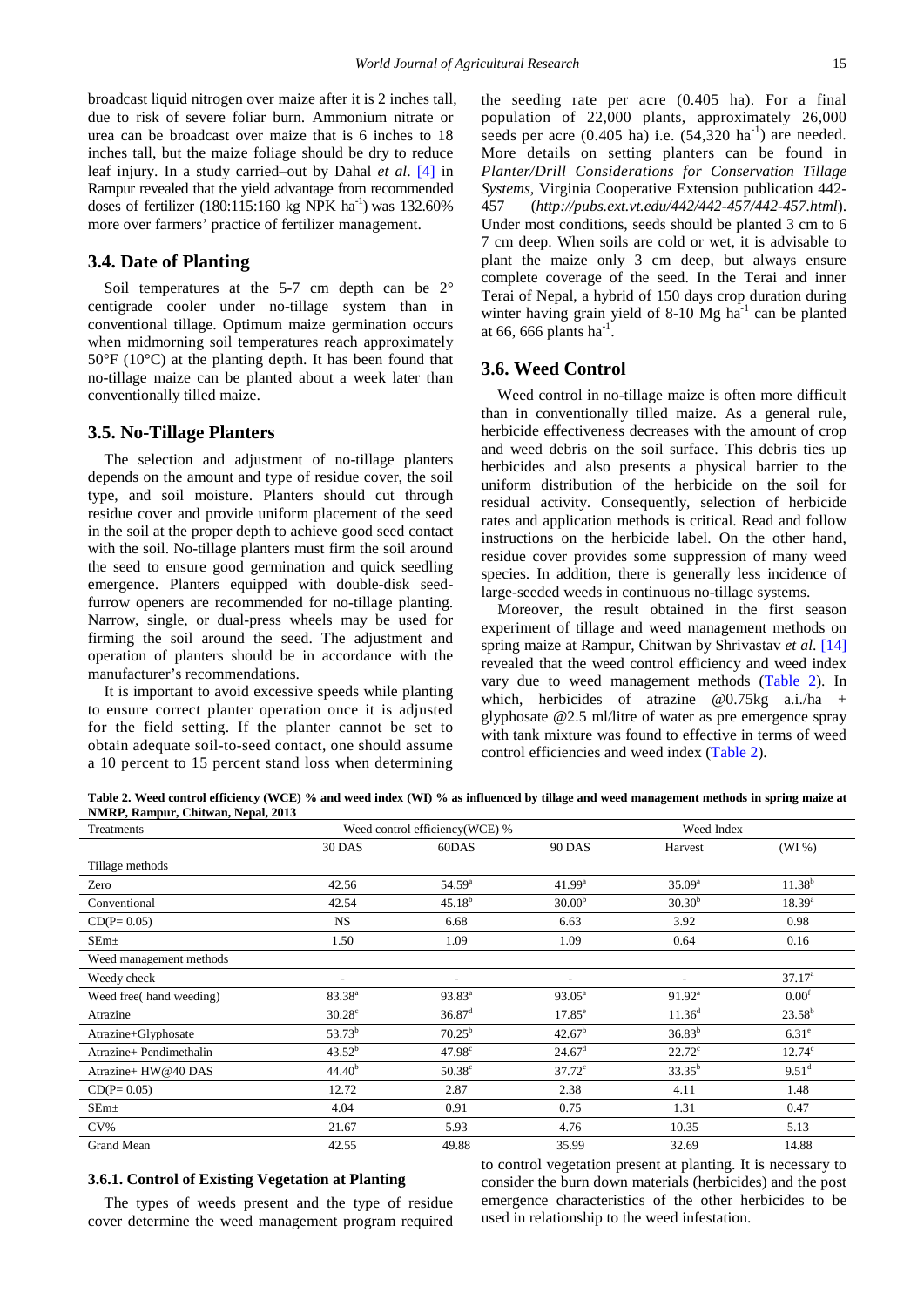broadcast liquid nitrogen over maize after it is 2 inches tall, due to risk of severe foliar burn. Ammonium nitrate or urea can be broadcast over maize that is 6 inches to 18 inches tall, but the maize foliage should be dry to reduce leaf injury. In a study carried–out by Dahal *et al*. [\[4\]](#page-4-15) in Rampur revealed that the yield advantage from recommended doses of fertilizer (180:115:160 kg NPK ha<sup>-1</sup>) was 132.60% more over farmers' practice of fertilizer management.

### **3.4. Date of Planting**

Soil temperatures at the 5-7 cm depth can be 2° centigrade cooler under no-tillage system than in conventional tillage. Optimum maize germination occurs when midmorning soil temperatures reach approximately 50°F (10°C) at the planting depth. It has been found that no-tillage maize can be planted about a week later than conventionally tilled maize.

#### **3.5. No-Tillage Planters**

The selection and adjustment of no-tillage planters depends on the amount and type of residue cover, the soil type, and soil moisture. Planters should cut through residue cover and provide uniform placement of the seed in the soil at the proper depth to achieve good seed contact with the soil. No-tillage planters must firm the soil around the seed to ensure good germination and quick seedling emergence. Planters equipped with double-disk seedfurrow openers are recommended for no-tillage planting. Narrow, single, or dual-press wheels may be used for firming the soil around the seed. The adjustment and operation of planters should be in accordance with the manufacturer's recommendations.

It is important to avoid excessive speeds while planting to ensure correct planter operation once it is adjusted for the field setting. If the planter cannot be set to obtain adequate soil-to-seed contact, one should assume a 10 percent to 15 percent stand loss when determining the seeding rate per acre (0.405 ha). For a final population of 22,000 plants, approximately 26,000 seeds per acre  $(0.405 \text{ ha})$  i.e.  $(54,320 \text{ ha}^{-1})$  are needed. More details on setting planters can be found in *Planter/Drill Considerations for Conservation Tillage Systems,* Virginia Cooperative Extension publication 442- 457 (*http://pubs.ext.vt.edu/442/442-457/442-457.html*). Under most conditions, seeds should be planted 3 cm to 6 7 cm deep. When soils are cold or wet, it is advisable to plant the maize only 3 cm deep, but always ensure complete coverage of the seed. In the Terai and inner Terai of Nepal, a hybrid of 150 days crop duration during winter having grain yield of  $8-10$  Mg ha<sup>-1</sup> can be planted at 66, 666 plants  $ha^{-1}$ .

#### **3.6. Weed Control**

Weed control in no-tillage maize is often more difficult than in conventionally tilled maize. As a general rule, herbicide effectiveness decreases with the amount of crop and weed debris on the soil surface. This debris ties up herbicides and also presents a physical barrier to the uniform distribution of the herbicide on the soil for residual activity. Consequently, selection of herbicide rates and application methods is critical. Read and follow instructions on the herbicide label. On the other hand, residue cover provides some suppression of many weed species. In addition, there is generally less incidence of large-seeded weeds in continuous no-tillage systems.

Moreover, the result obtained in the first season experiment of tillage and weed management methods on spring maize at Rampur, Chitwan by Shrivastav *et al*. [\[14\]](#page-4-12) revealed that the weed control efficiency and weed index vary due to weed management methods [\(Table 2\)](#page-2-0). In which, herbicides of atrazine @0.75kg a.i./ha + glyphosate @2.5 ml/litre of water as pre emergence spray with tank mixture was found to effective in terms of weed control efficiencies and weed index [\(Table 2\)](#page-2-0).

**Table 2. Weed control efficiency (WCE) % and weed index (WI) % as influenced by tillage and weed management methods in spring maize at NMRP, Rampur, Chitwan, Nepal, 2013**

<span id="page-2-0"></span>

| Treatments              | Weed control efficiency(WCE) % |                      |                    | Weed Index         |                    |
|-------------------------|--------------------------------|----------------------|--------------------|--------------------|--------------------|
|                         | <b>30 DAS</b>                  | 60DAS                | <b>90 DAS</b>      | Harvest            | (WI %)             |
| Tillage methods         |                                |                      |                    |                    |                    |
| Zero                    | 42.56                          | 54.59 <sup>a</sup>   | $41.99^{\rm a}$    | $35.09^{a}$        | $11.38^{b}$        |
| Conventional            | 42.54                          | $45.18^{b}$          | 30.00 <sup>b</sup> | $30.30^{b}$        | $18.39^{a}$        |
| $CD(P=0.05)$            | <b>NS</b>                      | 6.68                 | 6.63               | 3.92               | 0.98               |
| $SEm+$                  | 1.50                           | 1.09                 | 1.09               | 0.64               | 0.16               |
| Weed management methods |                                |                      |                    |                    |                    |
| Weedy check             |                                | ۰.                   | ٠                  | ٠                  | 37.17 <sup>a</sup> |
| Weed free(hand weeding) | $83.38^{a}$                    | $93.83^a$            | $93.05^a$          | $91.92^{\text{a}}$ | 0.00 <sup>t</sup>  |
| Atrazine                | $30.28^{\circ}$                | $36.87$ <sup>d</sup> | $17.85^{\circ}$    | $11.36^{d}$        | $23.58^{b}$        |
| Atrazine+Glyphosate     | $53.73^{b}$                    | $70.25^{\rm b}$      | $42.67^b$          | $36.83^{b}$        | $6.31^e$           |
| Atrazine+ Pendimethalin | $43.52^{b}$                    | 47.98 <sup>c</sup>   | $24.67^{\rm d}$    | $22.72^{\circ}$    | $12.74^{\circ}$    |
| Atrazine+ HW@40 DAS     | 44.40 <sup>b</sup>             | $50.38^{\circ}$      | $37.72^{\circ}$    | $33.35^b$          | $9.51^{\rm d}$     |
| $CD(P=0.05)$            | 12.72                          | 2.87                 | 2.38               | 4.11               | 1.48               |
| $SEm+$                  | 4.04                           | 0.91                 | 0.75               | 1.31               | 0.47               |
| $CV\%$                  | 21.67                          | 5.93                 | 4.76               | 10.35              | 5.13               |
| Grand Mean              | 42.55                          | 49.88                | 35.99              | 32.69              | 14.88              |

#### **3.6.1. Control of Existing Vegetation at Planting**

The types of weeds present and the type of residue cover determine the weed management program required to control vegetation present at planting. It is necessary to consider the burn down materials (herbicides) and the post emergence characteristics of the other herbicides to be used in relationship to the weed infestation.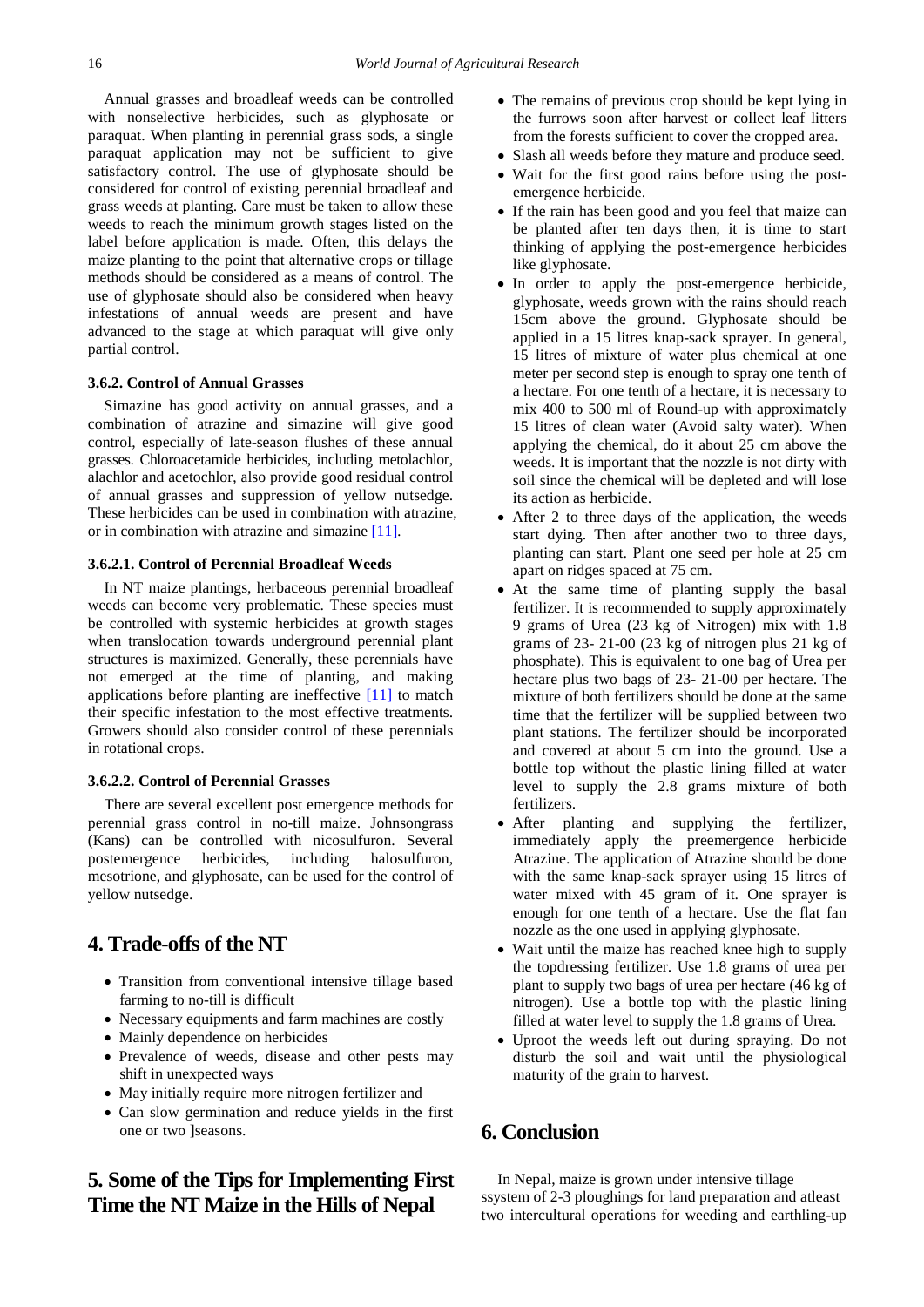Annual grasses and broadleaf weeds can be controlled with nonselective herbicides, such as glyphosate or paraquat. When planting in perennial grass sods, a single paraquat application may not be sufficient to give satisfactory control. The use of glyphosate should be considered for control of existing perennial broadleaf and grass weeds at planting. Care must be taken to allow these weeds to reach the minimum growth stages listed on the label before application is made. Often, this delays the maize planting to the point that alternative crops or tillage methods should be considered as a means of control. The use of glyphosate should also be considered when heavy infestations of annual weeds are present and have advanced to the stage at which paraquat will give only partial control.

#### **3.6.2. Control of Annual Grasses**

Simazine has good activity on annual grasses, and a combination of atrazine and simazine will give good control, especially of late-season flushes of these annual grasses. Chloroacetamide herbicides, including metolachlor, alachlor and acetochlor, also provide good residual control of annual grasses and suppression of yellow nutsedge. These herbicides can be used in combination with atrazine, or in combination with atrazine and simazine [\[11\]](#page-4-16)*.* 

#### **3.6.2.1. Control of Perennial Broadleaf Weeds**

In NT maize plantings, herbaceous perennial broadleaf weeds can become very problematic. These species must be controlled with systemic herbicides at growth stages when translocation towards underground perennial plant structures is maximized. Generally, these perennials have not emerged at the time of planting, and making applications before planting are ineffective [\[11\]](#page-4-16) to match their specific infestation to the most effective treatments. Growers should also consider control of these perennials in rotational crops.

#### **3.6.2.2. Control of Perennial Grasses**

There are several excellent post emergence methods for perennial grass control in no-till maize. Johnsongrass (Kans) can be controlled with nicosulfuron. Several postemergence herbicides, including halosulfuron, mesotrione, and glyphosate, can be used for the control of yellow nutsedge.

# **4. Trade-offs of the NT**

- Transition from conventional intensive tillage based farming to no-till is difficult
- Necessary equipments and farm machines are costly
- Mainly dependence on herbicides
- Prevalence of weeds, disease and other pests may shift in unexpected ways
- May initially require more nitrogen fertilizer and
- Can slow germination and reduce yields in the first one or two ]seasons.

# **5. Some of the Tips for Implementing First Time the NT Maize in the Hills of Nepal**

- The remains of previous crop should be kept lying in the furrows soon after harvest or collect leaf litters from the forests sufficient to cover the cropped area.
- Slash all weeds before they mature and produce seed.
- Wait for the first good rains before using the postemergence herbicide.
- If the rain has been good and you feel that maize can be planted after ten days then, it is time to start thinking of applying the post-emergence herbicides like glyphosate.
- In order to apply the post-emergence herbicide, glyphosate, weeds grown with the rains should reach 15cm above the ground. Glyphosate should be applied in a 15 litres knap-sack sprayer. In general, 15 litres of mixture of water plus chemical at one meter per second step is enough to spray one tenth of a hectare. For one tenth of a hectare, it is necessary to mix 400 to 500 ml of Round-up with approximately 15 litres of clean water (Avoid salty water). When applying the chemical, do it about 25 cm above the weeds. It is important that the nozzle is not dirty with soil since the chemical will be depleted and will lose its action as herbicide.
- After 2 to three days of the application, the weeds start dying. Then after another two to three days, planting can start. Plant one seed per hole at 25 cm apart on ridges spaced at 75 cm.
- At the same time of planting supply the basal fertilizer. It is recommended to supply approximately 9 grams of Urea (23 kg of Nitrogen) mix with 1.8 grams of 23- 21-00 (23 kg of nitrogen plus 21 kg of phosphate). This is equivalent to one bag of Urea per hectare plus two bags of 23- 21-00 per hectare. The mixture of both fertilizers should be done at the same time that the fertilizer will be supplied between two plant stations. The fertilizer should be incorporated and covered at about 5 cm into the ground. Use a bottle top without the plastic lining filled at water level to supply the 2.8 grams mixture of both fertilizers.
- After planting and supplying the fertilizer, immediately apply the preemergence herbicide Atrazine. The application of Atrazine should be done with the same knap-sack sprayer using 15 litres of water mixed with 45 gram of it. One sprayer is enough for one tenth of a hectare. Use the flat fan nozzle as the one used in applying glyphosate.
- Wait until the maize has reached knee high to supply the topdressing fertilizer. Use 1.8 grams of urea per plant to supply two bags of urea per hectare (46 kg of nitrogen). Use a bottle top with the plastic lining filled at water level to supply the 1.8 grams of Urea.
- Uproot the weeds left out during spraying. Do not disturb the soil and wait until the physiological maturity of the grain to harvest.

# **6. Conclusion**

In Nepal, maize is grown under intensive tillage ssystem of 2-3 ploughings for land preparation and atleast two intercultural operations for weeding and earthling-up